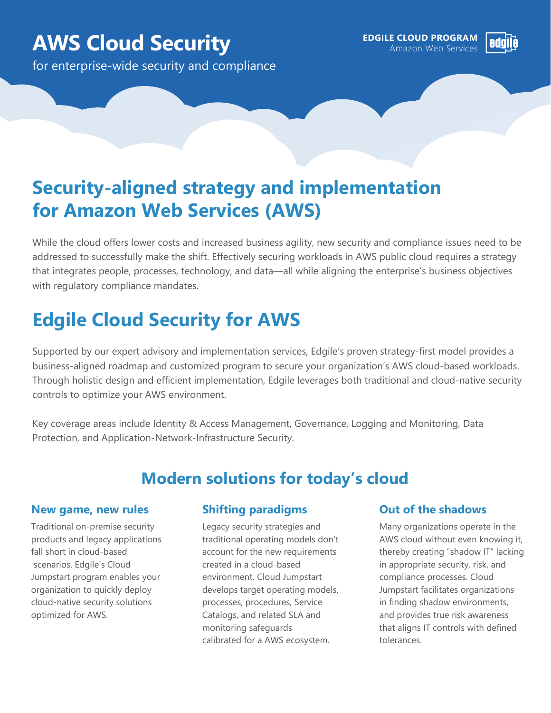# **AWS Cloud Security AWS Cloud Security AWS EDGILE CLOUD PROGRAM**

for enterprise-wide security and compliance



# **Security-aligned strategy and implementation for Amazon Web Services (AWS)**

While the cloud offers lower costs and increased business agility, new security and compliance issues need to be addressed to successfully make the shift. Effectively securing workloads in AWS public cloud requires a strategy that integrates people, processes, technology, and data—all while aligning the enterprise's business objectives with regulatory compliance mandates.

# **Edgile Cloud Security for AWS**

Supported by our expert advisory and implementation services, Edgile's proven strategy-first model provides a business-aligned roadmap and customized program to secure your organization's AWS cloud-based workloads. Through holistic design and efficient implementation, Edgile leverages both traditional and cloud-native security controls to optimize your AWS environment.

Key coverage areas include Identity & Access Management, Governance, Logging and Monitoring, Data Protection, and Application-Network-Infrastructure Security.

## **Modern solutions for today's cloud**

#### **New game, new rules**

Traditional on-premise security products and legacy applications fall short in cloud-based scenarios. Edgile's Cloud Jumpstart program enables your organization to quickly deploy cloud-native security solutions optimized for AWS.

### **Shifting paradigms**

Legacy security strategies and traditional operating models don't account for the new requirements created in a cloud-based environment. Cloud Jumpstart develops target operating models, processes, procedures, Service Catalogs, and related SLA and monitoring safeguards calibrated for a AWS ecosystem.

### **Out of the shadows**

Many organizations operate in the AWS cloud without even knowing it, thereby creating "shadow IT" lacking in appropriate security, risk, and compliance processes. Cloud Jumpstart facilitates organizations in finding shadow environments, and provides true risk awareness that aligns IT controls with defined tolerances.